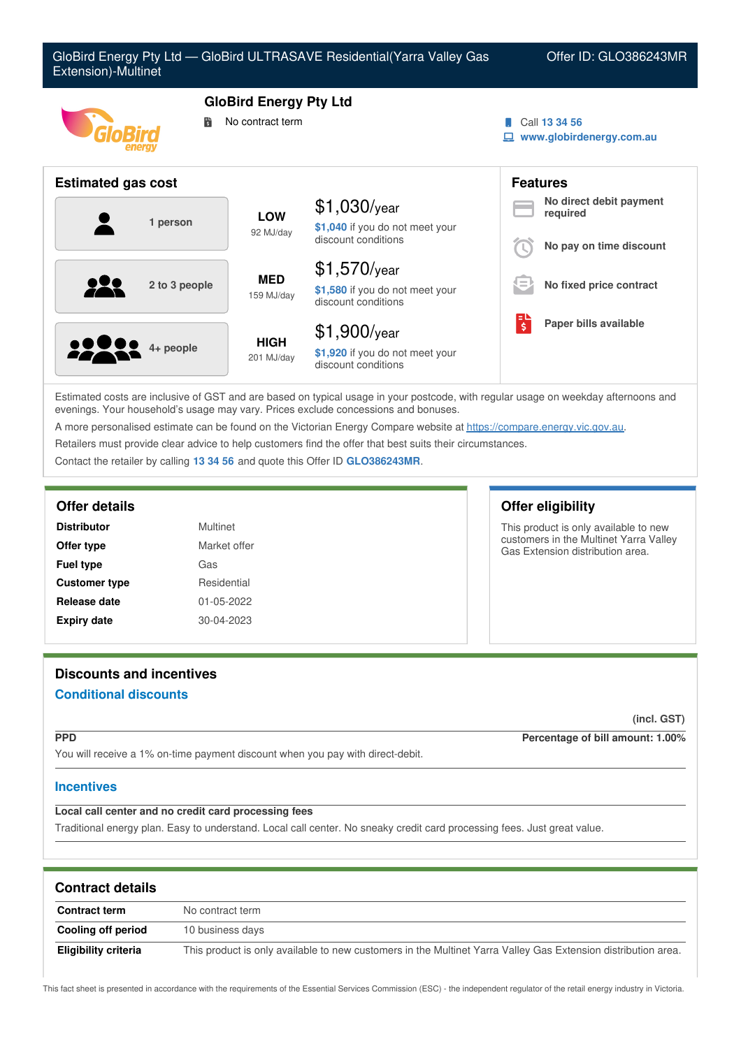

Estimated costs are inclusive of GST and are based on typical usage in your postcode, with regular usage on weekday afternoons and evenings. Your household's usage may vary. Prices exclude concessions and bonuses.

A more personalised estimate can be found on the Victorian Energy Compare website at <https://compare.energy.vic.gov.au>.

Retailers must provide clear advice to help customers find the offer that best suits their circumstances.

Contact the retailer by calling **13 34 56** and quote this Offer ID **GLO386243MR**.

### **Offer details Offer eligibility**

| <b>Distributor</b>   | Multinet         |
|----------------------|------------------|
| Offer type           | Market offer     |
| <b>Fuel type</b>     | Gas              |
| <b>Customer type</b> | Residential      |
| Release date         | 01-05-2022       |
| <b>Expiry date</b>   | $30 - 04 - 2023$ |

This product is only available to new customers in the Multinet Yarra Valley Gas Extension distribution area.

# **Discounts and incentives**

# **Conditional discounts**

**(incl. GST)**

**PPD Percentage of bill amount: 1.00%**

You will receive a 1% on-time payment discount when you pay with direct-debit.

## **Incentives**

# **Local call center and no credit card processing fees**

Traditional energy plan. Easy to understand. Local call center. No sneaky credit card processing fees. Just great value.

| <b>Contract details</b> |                                                                                                               |  |
|-------------------------|---------------------------------------------------------------------------------------------------------------|--|
| <b>Contract term</b>    | No contract term                                                                                              |  |
| Cooling off period      | 10 business days                                                                                              |  |
| Eligibility criteria    | This product is only available to new customers in the Multinet Yarra Valley Gas Extension distribution area. |  |

This fact sheet is presented in accordance with the requirements of the Essential Services Commission (ESC) - the independent regulator of the retail energy industry in Victoria.